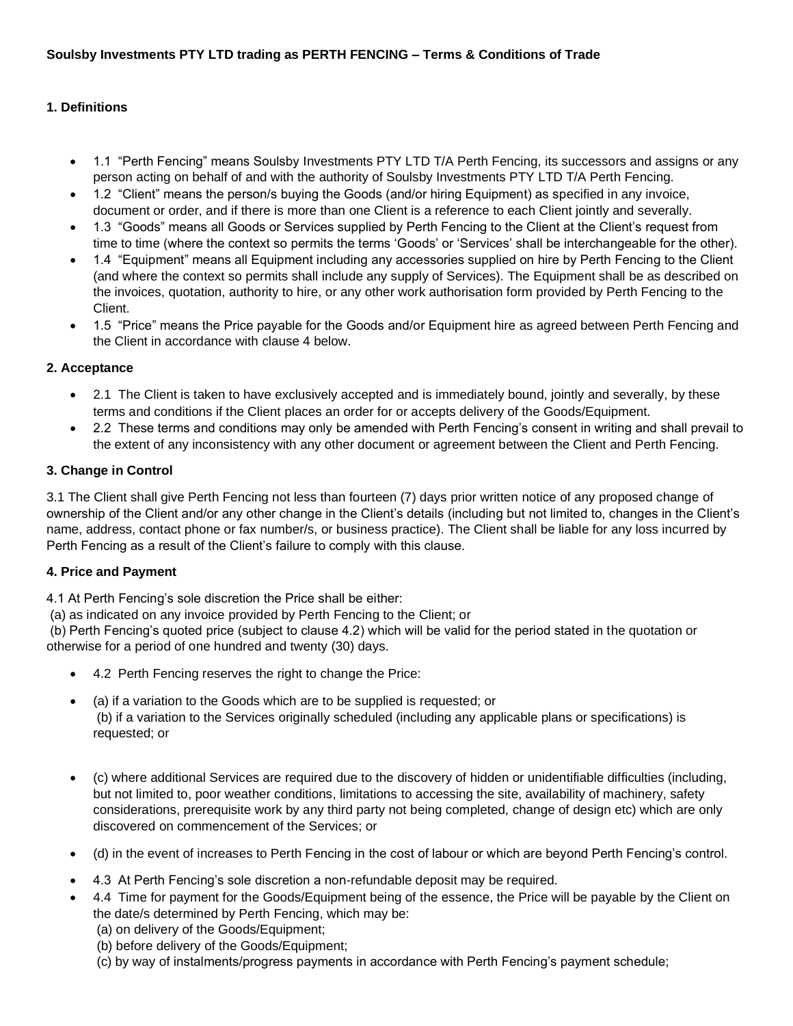# **1. Definitions**

- 1.1 "Perth Fencing" means Soulsby Investments PTY LTD T/A Perth Fencing, its successors and assigns or any person acting on behalf of and with the authority of Soulsby Investments PTY LTD T/A Perth Fencing.
- 1.2 "Client" means the person/s buying the Goods (and/or hiring Equipment) as specified in any invoice, document or order, and if there is more than one Client is a reference to each Client jointly and severally.
- 1.3 "Goods" means all Goods or Services supplied by Perth Fencing to the Client at the Client's request from time to time (where the context so permits the terms 'Goods' or 'Services' shall be interchangeable for the other).
- 1.4 "Equipment" means all Equipment including any accessories supplied on hire by Perth Fencing to the Client (and where the context so permits shall include any supply of Services). The Equipment shall be as described on the invoices, quotation, authority to hire, or any other work authorisation form provided by Perth Fencing to the Client.
- 1.5 "Price" means the Price payable for the Goods and/or Equipment hire as agreed between Perth Fencing and the Client in accordance with clause 4 below.

#### **2. Acceptance**

- 2.1 The Client is taken to have exclusively accepted and is immediately bound, jointly and severally, by these terms and conditions if the Client places an order for or accepts delivery of the Goods/Equipment.
- 2.2 These terms and conditions may only be amended with Perth Fencing's consent in writing and shall prevail to the extent of any inconsistency with any other document or agreement between the Client and Perth Fencing.

#### **3. Change in Control**

3.1 The Client shall give Perth Fencing not less than fourteen (7) days prior written notice of any proposed change of ownership of the Client and/or any other change in the Client's details (including but not limited to, changes in the Client's name, address, contact phone or fax number/s, or business practice). The Client shall be liable for any loss incurred by Perth Fencing as a result of the Client's failure to comply with this clause.

#### **4. Price and Payment**

4.1 At Perth Fencing's sole discretion the Price shall be either:

(a) as indicated on any invoice provided by Perth Fencing to the Client; or

(b) Perth Fencing's quoted price (subject to clause 4.2) which will be valid for the period stated in the quotation or otherwise for a period of one hundred and twenty (30) days.

- 4.2 Perth Fencing reserves the right to change the Price:
- (a) if a variation to the Goods which are to be supplied is requested; or (b) if a variation to the Services originally scheduled (including any applicable plans or specifications) is requested; or
- (c) where additional Services are required due to the discovery of hidden or unidentifiable difficulties (including, but not limited to, poor weather conditions, limitations to accessing the site, availability of machinery, safety considerations, prerequisite work by any third party not being completed, change of design etc) which are only discovered on commencement of the Services; or
- (d) in the event of increases to Perth Fencing in the cost of labour or which are beyond Perth Fencing's control.
- 4.3 At Perth Fencing's sole discretion a non-refundable deposit may be required.
- 4.4 Time for payment for the Goods/Equipment being of the essence, the Price will be payable by the Client on the date/s determined by Perth Fencing, which may be:
	- (a) on delivery of the Goods/Equipment;
	- (b) before delivery of the Goods/Equipment;
	- (c) by way of instalments/progress payments in accordance with Perth Fencing's payment schedule;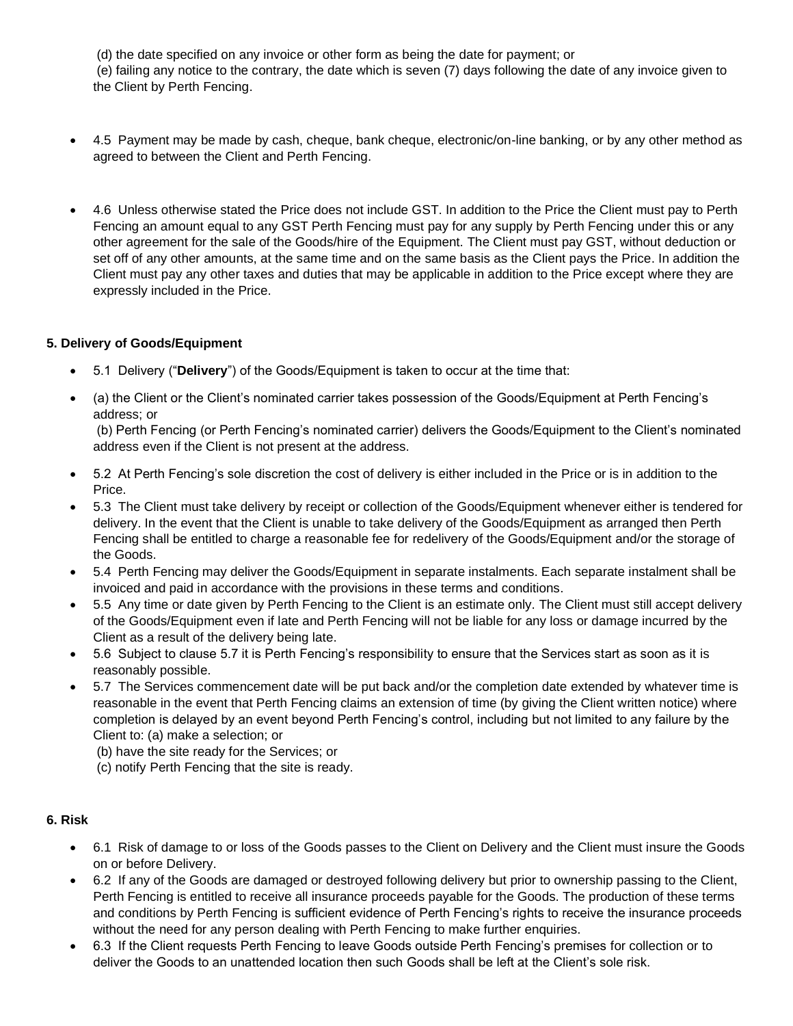(d) the date specified on any invoice or other form as being the date for payment; or (e) failing any notice to the contrary, the date which is seven (7) days following the date of any invoice given to the Client by Perth Fencing.

- 4.5 Payment may be made by cash, cheque, bank cheque, electronic/on-line banking, or by any other method as agreed to between the Client and Perth Fencing.
- 4.6 Unless otherwise stated the Price does not include GST. In addition to the Price the Client must pay to Perth Fencing an amount equal to any GST Perth Fencing must pay for any supply by Perth Fencing under this or any other agreement for the sale of the Goods/hire of the Equipment. The Client must pay GST, without deduction or set off of any other amounts, at the same time and on the same basis as the Client pays the Price. In addition the Client must pay any other taxes and duties that may be applicable in addition to the Price except where they are expressly included in the Price.

# **5. Delivery of Goods/Equipment**

- 5.1 Delivery ("**Delivery**") of the Goods/Equipment is taken to occur at the time that:
- (a) the Client or the Client's nominated carrier takes possession of the Goods/Equipment at Perth Fencing's address; or

(b) Perth Fencing (or Perth Fencing's nominated carrier) delivers the Goods/Equipment to the Client's nominated address even if the Client is not present at the address.

- 5.2 At Perth Fencing's sole discretion the cost of delivery is either included in the Price or is in addition to the Price.
- 5.3 The Client must take delivery by receipt or collection of the Goods/Equipment whenever either is tendered for delivery. In the event that the Client is unable to take delivery of the Goods/Equipment as arranged then Perth Fencing shall be entitled to charge a reasonable fee for redelivery of the Goods/Equipment and/or the storage of the Goods.
- 5.4 Perth Fencing may deliver the Goods/Equipment in separate instalments. Each separate instalment shall be invoiced and paid in accordance with the provisions in these terms and conditions.
- 5.5 Any time or date given by Perth Fencing to the Client is an estimate only. The Client must still accept delivery of the Goods/Equipment even if late and Perth Fencing will not be liable for any loss or damage incurred by the Client as a result of the delivery being late.
- 5.6 Subject to clause 5.7 it is Perth Fencing's responsibility to ensure that the Services start as soon as it is reasonably possible.
- 5.7 The Services commencement date will be put back and/or the completion date extended by whatever time is reasonable in the event that Perth Fencing claims an extension of time (by giving the Client written notice) where completion is delayed by an event beyond Perth Fencing's control, including but not limited to any failure by the Client to: (a) make a selection; or
	- (b) have the site ready for the Services; or
	- (c) notify Perth Fencing that the site is ready.

#### **6. Risk**

- 6.1 Risk of damage to or loss of the Goods passes to the Client on Delivery and the Client must insure the Goods on or before Delivery.
- 6.2 If any of the Goods are damaged or destroyed following delivery but prior to ownership passing to the Client, Perth Fencing is entitled to receive all insurance proceeds payable for the Goods. The production of these terms and conditions by Perth Fencing is sufficient evidence of Perth Fencing's rights to receive the insurance proceeds without the need for any person dealing with Perth Fencing to make further enquiries.
- 6.3 If the Client requests Perth Fencing to leave Goods outside Perth Fencing's premises for collection or to deliver the Goods to an unattended location then such Goods shall be left at the Client's sole risk.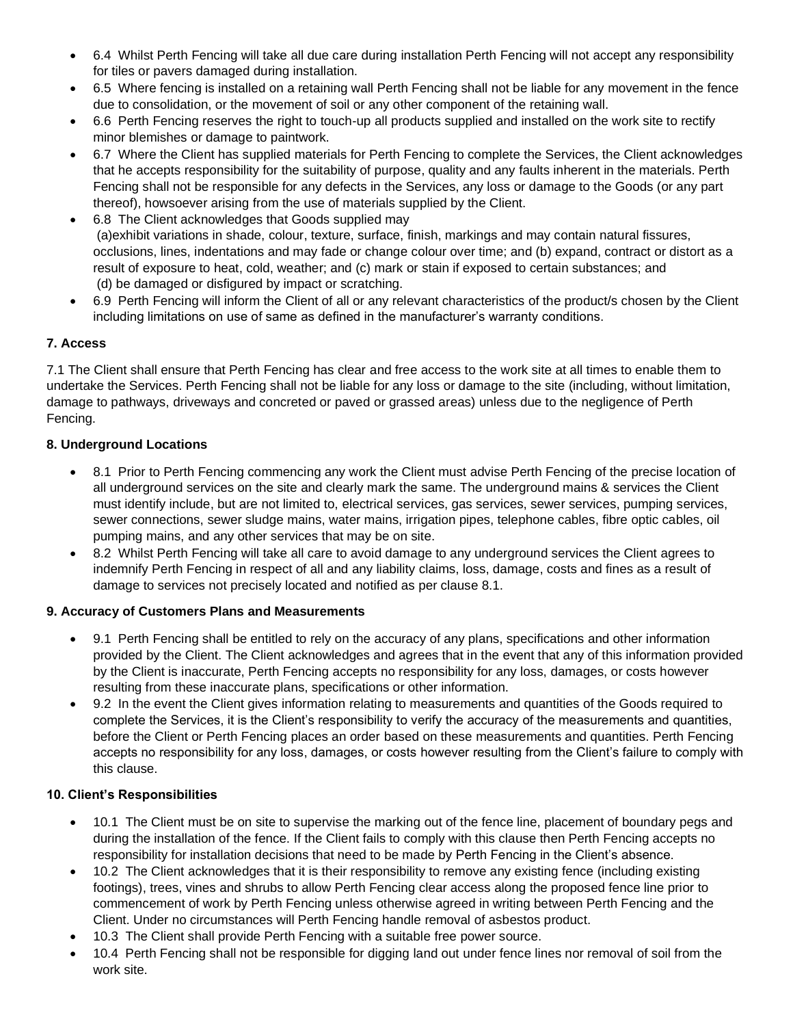- 6.4 Whilst Perth Fencing will take all due care during installation Perth Fencing will not accept any responsibility for tiles or pavers damaged during installation.
- 6.5 Where fencing is installed on a retaining wall Perth Fencing shall not be liable for any movement in the fence due to consolidation, or the movement of soil or any other component of the retaining wall.
- 6.6 Perth Fencing reserves the right to touch-up all products supplied and installed on the work site to rectify minor blemishes or damage to paintwork.
- 6.7 Where the Client has supplied materials for Perth Fencing to complete the Services, the Client acknowledges that he accepts responsibility for the suitability of purpose, quality and any faults inherent in the materials. Perth Fencing shall not be responsible for any defects in the Services, any loss or damage to the Goods (or any part thereof), howsoever arising from the use of materials supplied by the Client.
- 6.8 The Client acknowledges that Goods supplied may (a)exhibit variations in shade, colour, texture, surface, finish, markings and may contain natural fissures, occlusions, lines, indentations and may fade or change colour over time; and (b) expand, contract or distort as a result of exposure to heat, cold, weather; and (c) mark or stain if exposed to certain substances; and (d) be damaged or disfigured by impact or scratching.
- 6.9 Perth Fencing will inform the Client of all or any relevant characteristics of the product/s chosen by the Client including limitations on use of same as defined in the manufacturer's warranty conditions.

# **7. Access**

7.1 The Client shall ensure that Perth Fencing has clear and free access to the work site at all times to enable them to undertake the Services. Perth Fencing shall not be liable for any loss or damage to the site (including, without limitation, damage to pathways, driveways and concreted or paved or grassed areas) unless due to the negligence of Perth Fencing.

# **8. Underground Locations**

- 8.1 Prior to Perth Fencing commencing any work the Client must advise Perth Fencing of the precise location of all underground services on the site and clearly mark the same. The underground mains & services the Client must identify include, but are not limited to, electrical services, gas services, sewer services, pumping services, sewer connections, sewer sludge mains, water mains, irrigation pipes, telephone cables, fibre optic cables, oil pumping mains, and any other services that may be on site.
- 8.2 Whilst Perth Fencing will take all care to avoid damage to any underground services the Client agrees to indemnify Perth Fencing in respect of all and any liability claims, loss, damage, costs and fines as a result of damage to services not precisely located and notified as per clause 8.1.

#### **9. Accuracy of Customers Plans and Measurements**

- 9.1 Perth Fencing shall be entitled to rely on the accuracy of any plans, specifications and other information provided by the Client. The Client acknowledges and agrees that in the event that any of this information provided by the Client is inaccurate, Perth Fencing accepts no responsibility for any loss, damages, or costs however resulting from these inaccurate plans, specifications or other information.
- 9.2 In the event the Client gives information relating to measurements and quantities of the Goods required to complete the Services, it is the Client's responsibility to verify the accuracy of the measurements and quantities, before the Client or Perth Fencing places an order based on these measurements and quantities. Perth Fencing accepts no responsibility for any loss, damages, or costs however resulting from the Client's failure to comply with this clause.

#### **10. Client's Responsibilities**

- 10.1 The Client must be on site to supervise the marking out of the fence line, placement of boundary pegs and during the installation of the fence. If the Client fails to comply with this clause then Perth Fencing accepts no responsibility for installation decisions that need to be made by Perth Fencing in the Client's absence.
- 10.2 The Client acknowledges that it is their responsibility to remove any existing fence (including existing footings), trees, vines and shrubs to allow Perth Fencing clear access along the proposed fence line prior to commencement of work by Perth Fencing unless otherwise agreed in writing between Perth Fencing and the Client. Under no circumstances will Perth Fencing handle removal of asbestos product.
- 10.3 The Client shall provide Perth Fencing with a suitable free power source.
- 10.4 Perth Fencing shall not be responsible for digging land out under fence lines nor removal of soil from the work site.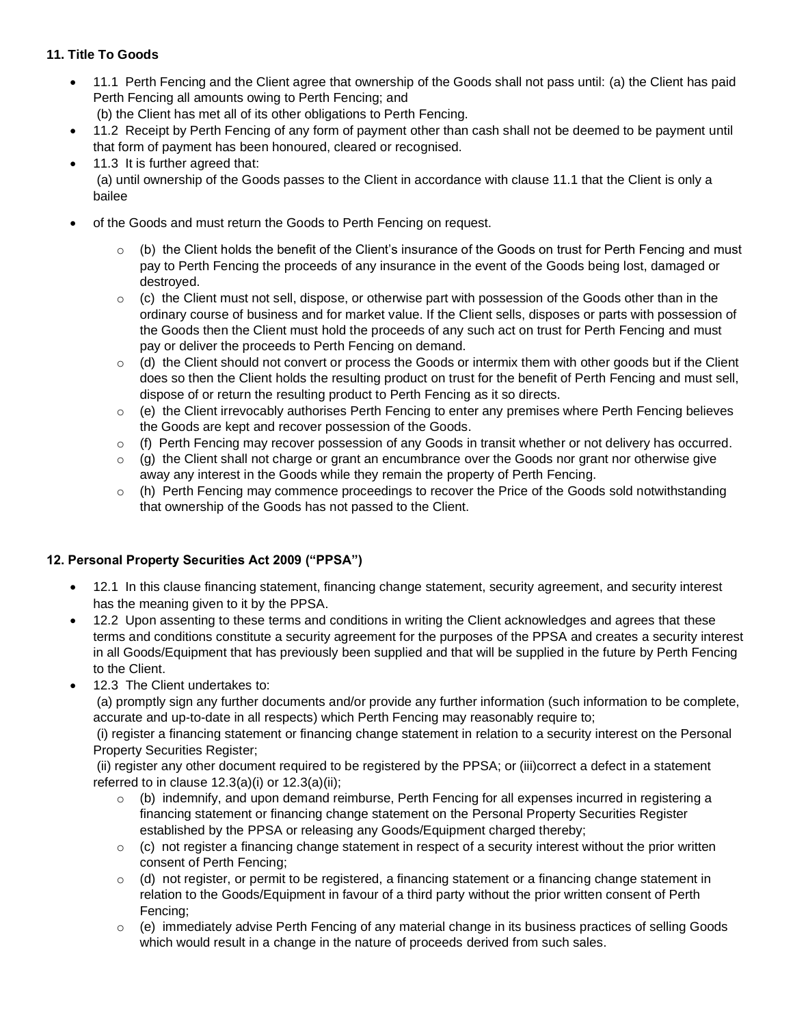# **11. Title To Goods**

- 11.1 Perth Fencing and the Client agree that ownership of the Goods shall not pass until: (a) the Client has paid Perth Fencing all amounts owing to Perth Fencing; and (b) the Client has met all of its other obligations to Perth Fencing.
- 11.2 Receipt by Perth Fencing of any form of payment other than cash shall not be deemed to be payment until that form of payment has been honoured, cleared or recognised.
- 11.3 It is further agreed that: (a) until ownership of the Goods passes to the Client in accordance with clause 11.1 that the Client is only a bailee
- of the Goods and must return the Goods to Perth Fencing on request.
	- $\circ$  (b) the Client holds the benefit of the Client's insurance of the Goods on trust for Perth Fencing and must pay to Perth Fencing the proceeds of any insurance in the event of the Goods being lost, damaged or destroyed.
	- $\circ$  (c) the Client must not sell, dispose, or otherwise part with possession of the Goods other than in the ordinary course of business and for market value. If the Client sells, disposes or parts with possession of the Goods then the Client must hold the proceeds of any such act on trust for Perth Fencing and must pay or deliver the proceeds to Perth Fencing on demand.
	- $\circ$  (d) the Client should not convert or process the Goods or intermix them with other goods but if the Client does so then the Client holds the resulting product on trust for the benefit of Perth Fencing and must sell, dispose of or return the resulting product to Perth Fencing as it so directs.
	- $\circ$  (e) the Client irrevocably authorises Perth Fencing to enter any premises where Perth Fencing believes the Goods are kept and recover possession of the Goods.
	- $\circ$  (f) Perth Fencing may recover possession of any Goods in transit whether or not delivery has occurred.
	- $\circ$  (g) the Client shall not charge or grant an encumbrance over the Goods nor grant nor otherwise give away any interest in the Goods while they remain the property of Perth Fencing.
	- $\circ$  (h) Perth Fencing may commence proceedings to recover the Price of the Goods sold notwithstanding that ownership of the Goods has not passed to the Client.

# **12. Personal Property Securities Act 2009 ("PPSA")**

- 12.1 In this clause financing statement, financing change statement, security agreement, and security interest has the meaning given to it by the PPSA.
- 12.2 Upon assenting to these terms and conditions in writing the Client acknowledges and agrees that these terms and conditions constitute a security agreement for the purposes of the PPSA and creates a security interest in all Goods/Equipment that has previously been supplied and that will be supplied in the future by Perth Fencing to the Client.
- 12.3 The Client undertakes to:

(a) promptly sign any further documents and/or provide any further information (such information to be complete, accurate and up-to-date in all respects) which Perth Fencing may reasonably require to;

(i) register a financing statement or financing change statement in relation to a security interest on the Personal Property Securities Register;

(ii) register any other document required to be registered by the PPSA; or (iii)correct a defect in a statement referred to in clause  $12.3(a)(i)$  or  $12.3(a)(ii)$ ;

- o (b) indemnify, and upon demand reimburse, Perth Fencing for all expenses incurred in registering a financing statement or financing change statement on the Personal Property Securities Register established by the PPSA or releasing any Goods/Equipment charged thereby;
- $\circ$  (c) not register a financing change statement in respect of a security interest without the prior written consent of Perth Fencing;
- $\circ$  (d) not register, or permit to be registered, a financing statement or a financing change statement in relation to the Goods/Equipment in favour of a third party without the prior written consent of Perth Fencing;
- $\circ$  (e) immediately advise Perth Fencing of any material change in its business practices of selling Goods which would result in a change in the nature of proceeds derived from such sales.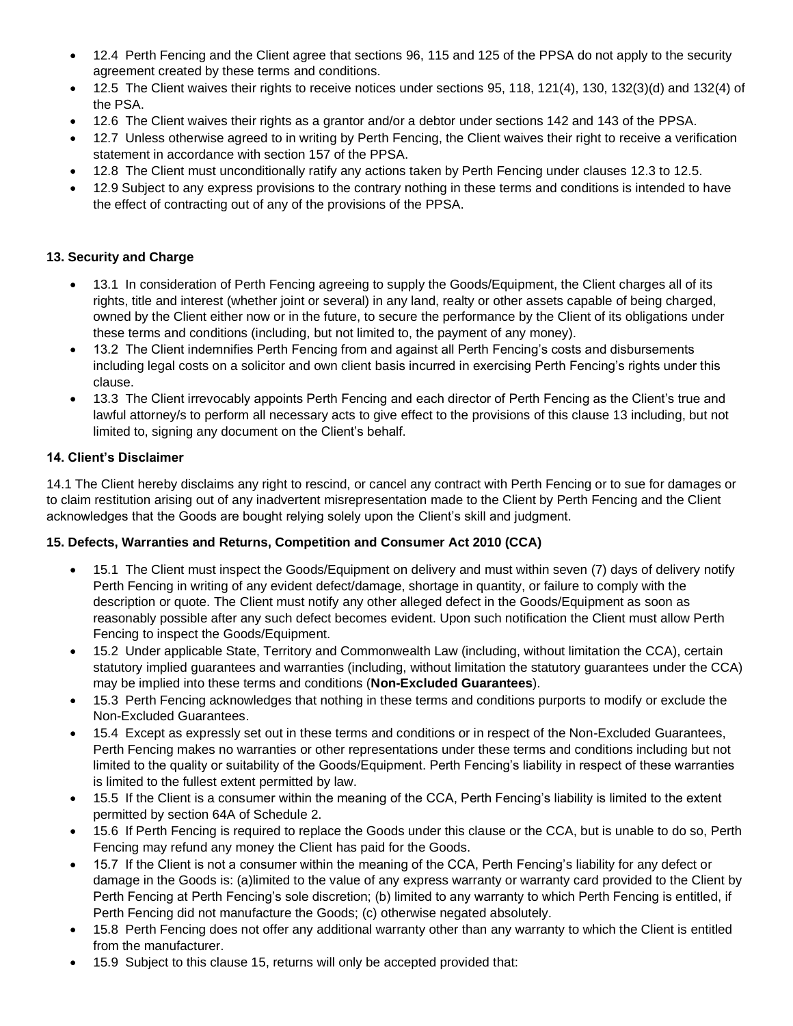- 12.4 Perth Fencing and the Client agree that sections 96, 115 and 125 of the PPSA do not apply to the security agreement created by these terms and conditions.
- 12.5 The Client waives their rights to receive notices under sections 95, 118, 121(4), 130, 132(3)(d) and 132(4) of the PSA.
- 12.6 The Client waives their rights as a grantor and/or a debtor under sections 142 and 143 of the PPSA.
- 12.7 Unless otherwise agreed to in writing by Perth Fencing, the Client waives their right to receive a verification statement in accordance with section 157 of the PPSA.
- 12.8 The Client must unconditionally ratify any actions taken by Perth Fencing under clauses 12.3 to 12.5.
- 12.9 Subject to any express provisions to the contrary nothing in these terms and conditions is intended to have the effect of contracting out of any of the provisions of the PPSA.

# **13. Security and Charge**

- 13.1 In consideration of Perth Fencing agreeing to supply the Goods/Equipment, the Client charges all of its rights, title and interest (whether joint or several) in any land, realty or other assets capable of being charged, owned by the Client either now or in the future, to secure the performance by the Client of its obligations under these terms and conditions (including, but not limited to, the payment of any money).
- 13.2 The Client indemnifies Perth Fencing from and against all Perth Fencing's costs and disbursements including legal costs on a solicitor and own client basis incurred in exercising Perth Fencing's rights under this clause.
- 13.3 The Client irrevocably appoints Perth Fencing and each director of Perth Fencing as the Client's true and lawful attorney/s to perform all necessary acts to give effect to the provisions of this clause 13 including, but not limited to, signing any document on the Client's behalf.

# **14. Client's Disclaimer**

14.1 The Client hereby disclaims any right to rescind, or cancel any contract with Perth Fencing or to sue for damages or to claim restitution arising out of any inadvertent misrepresentation made to the Client by Perth Fencing and the Client acknowledges that the Goods are bought relying solely upon the Client's skill and judgment.

# **15. Defects, Warranties and Returns, Competition and Consumer Act 2010 (CCA)**

- 15.1 The Client must inspect the Goods/Equipment on delivery and must within seven (7) days of delivery notify Perth Fencing in writing of any evident defect/damage, shortage in quantity, or failure to comply with the description or quote. The Client must notify any other alleged defect in the Goods/Equipment as soon as reasonably possible after any such defect becomes evident. Upon such notification the Client must allow Perth Fencing to inspect the Goods/Equipment.
- 15.2 Under applicable State, Territory and Commonwealth Law (including, without limitation the CCA), certain statutory implied guarantees and warranties (including, without limitation the statutory guarantees under the CCA) may be implied into these terms and conditions (**Non-Excluded Guarantees**).
- 15.3 Perth Fencing acknowledges that nothing in these terms and conditions purports to modify or exclude the Non-Excluded Guarantees.
- 15.4 Except as expressly set out in these terms and conditions or in respect of the Non-Excluded Guarantees, Perth Fencing makes no warranties or other representations under these terms and conditions including but not limited to the quality or suitability of the Goods/Equipment. Perth Fencing's liability in respect of these warranties is limited to the fullest extent permitted by law.
- 15.5 If the Client is a consumer within the meaning of the CCA, Perth Fencing's liability is limited to the extent permitted by section 64A of Schedule 2.
- 15.6 If Perth Fencing is required to replace the Goods under this clause or the CCA, but is unable to do so, Perth Fencing may refund any money the Client has paid for the Goods.
- 15.7 If the Client is not a consumer within the meaning of the CCA, Perth Fencing's liability for any defect or damage in the Goods is: (a)limited to the value of any express warranty or warranty card provided to the Client by Perth Fencing at Perth Fencing's sole discretion; (b) limited to any warranty to which Perth Fencing is entitled, if Perth Fencing did not manufacture the Goods; (c) otherwise negated absolutely.
- 15.8 Perth Fencing does not offer any additional warranty other than any warranty to which the Client is entitled from the manufacturer.
- 15.9 Subject to this clause 15, returns will only be accepted provided that: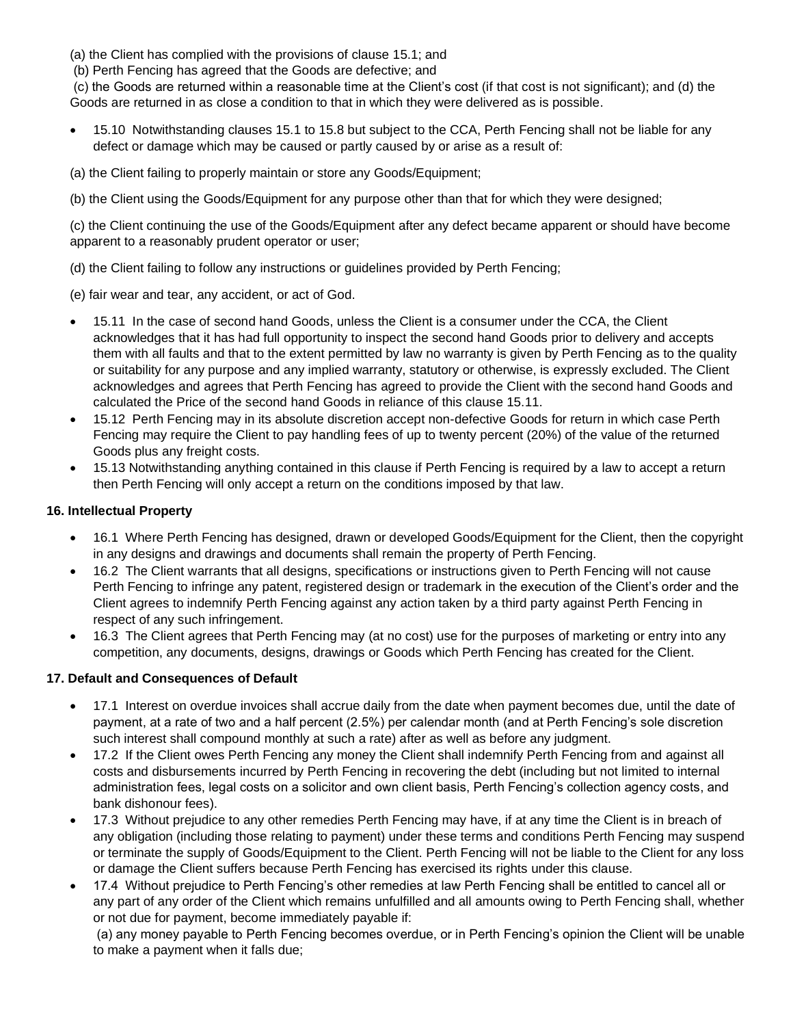(a) the Client has complied with the provisions of clause 15.1; and

(b) Perth Fencing has agreed that the Goods are defective; and

(c) the Goods are returned within a reasonable time at the Client's cost (if that cost is not significant); and (d) the Goods are returned in as close a condition to that in which they were delivered as is possible.

- 15.10 Notwithstanding clauses 15.1 to 15.8 but subject to the CCA, Perth Fencing shall not be liable for any defect or damage which may be caused or partly caused by or arise as a result of:
- (a) the Client failing to properly maintain or store any Goods/Equipment;
- (b) the Client using the Goods/Equipment for any purpose other than that for which they were designed;

(c) the Client continuing the use of the Goods/Equipment after any defect became apparent or should have become apparent to a reasonably prudent operator or user;

- (d) the Client failing to follow any instructions or guidelines provided by Perth Fencing;
- (e) fair wear and tear, any accident, or act of God.
- 15.11 In the case of second hand Goods, unless the Client is a consumer under the CCA, the Client acknowledges that it has had full opportunity to inspect the second hand Goods prior to delivery and accepts them with all faults and that to the extent permitted by law no warranty is given by Perth Fencing as to the quality or suitability for any purpose and any implied warranty, statutory or otherwise, is expressly excluded. The Client acknowledges and agrees that Perth Fencing has agreed to provide the Client with the second hand Goods and calculated the Price of the second hand Goods in reliance of this clause 15.11.
- 15.12 Perth Fencing may in its absolute discretion accept non-defective Goods for return in which case Perth Fencing may require the Client to pay handling fees of up to twenty percent (20%) of the value of the returned Goods plus any freight costs.
- 15.13 Notwithstanding anything contained in this clause if Perth Fencing is required by a law to accept a return then Perth Fencing will only accept a return on the conditions imposed by that law.

# **16. Intellectual Property**

- 16.1 Where Perth Fencing has designed, drawn or developed Goods/Equipment for the Client, then the copyright in any designs and drawings and documents shall remain the property of Perth Fencing.
- 16.2 The Client warrants that all designs, specifications or instructions given to Perth Fencing will not cause Perth Fencing to infringe any patent, registered design or trademark in the execution of the Client's order and the Client agrees to indemnify Perth Fencing against any action taken by a third party against Perth Fencing in respect of any such infringement.
- 16.3 The Client agrees that Perth Fencing may (at no cost) use for the purposes of marketing or entry into any competition, any documents, designs, drawings or Goods which Perth Fencing has created for the Client.

# **17. Default and Consequences of Default**

- 17.1 Interest on overdue invoices shall accrue daily from the date when payment becomes due, until the date of payment, at a rate of two and a half percent (2.5%) per calendar month (and at Perth Fencing's sole discretion such interest shall compound monthly at such a rate) after as well as before any judgment.
- 17.2 If the Client owes Perth Fencing any money the Client shall indemnify Perth Fencing from and against all costs and disbursements incurred by Perth Fencing in recovering the debt (including but not limited to internal administration fees, legal costs on a solicitor and own client basis, Perth Fencing's collection agency costs, and bank dishonour fees).
- 17.3 Without prejudice to any other remedies Perth Fencing may have, if at any time the Client is in breach of any obligation (including those relating to payment) under these terms and conditions Perth Fencing may suspend or terminate the supply of Goods/Equipment to the Client. Perth Fencing will not be liable to the Client for any loss or damage the Client suffers because Perth Fencing has exercised its rights under this clause.
- 17.4 Without prejudice to Perth Fencing's other remedies at law Perth Fencing shall be entitled to cancel all or any part of any order of the Client which remains unfulfilled and all amounts owing to Perth Fencing shall, whether or not due for payment, become immediately payable if:

(a) any money payable to Perth Fencing becomes overdue, or in Perth Fencing's opinion the Client will be unable to make a payment when it falls due;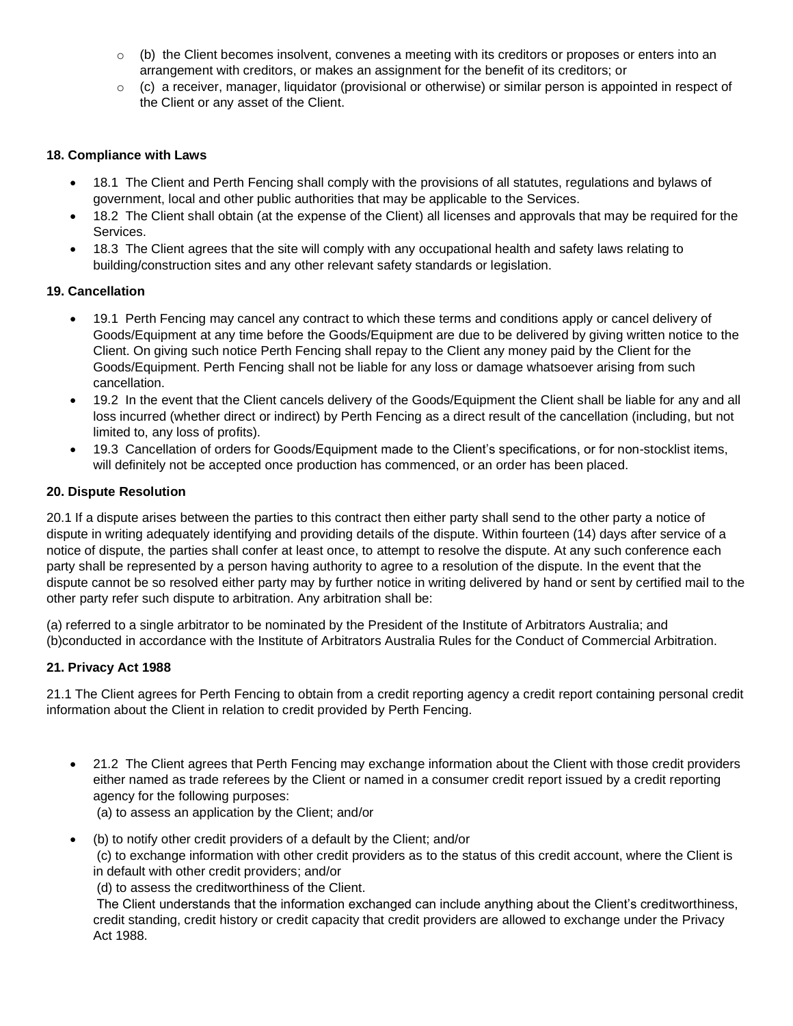- $\circ$  (b) the Client becomes insolvent, convenes a meeting with its creditors or proposes or enters into an arrangement with creditors, or makes an assignment for the benefit of its creditors; or
- $\circ$  (c) a receiver, manager, liquidator (provisional or otherwise) or similar person is appointed in respect of the Client or any asset of the Client.

### **18. Compliance with Laws**

- 18.1 The Client and Perth Fencing shall comply with the provisions of all statutes, regulations and bylaws of government, local and other public authorities that may be applicable to the Services.
- 18.2 The Client shall obtain (at the expense of the Client) all licenses and approvals that may be required for the Services.
- 18.3 The Client agrees that the site will comply with any occupational health and safety laws relating to building/construction sites and any other relevant safety standards or legislation.

# **19. Cancellation**

- 19.1 Perth Fencing may cancel any contract to which these terms and conditions apply or cancel delivery of Goods/Equipment at any time before the Goods/Equipment are due to be delivered by giving written notice to the Client. On giving such notice Perth Fencing shall repay to the Client any money paid by the Client for the Goods/Equipment. Perth Fencing shall not be liable for any loss or damage whatsoever arising from such cancellation.
- 19.2 In the event that the Client cancels delivery of the Goods/Equipment the Client shall be liable for any and all loss incurred (whether direct or indirect) by Perth Fencing as a direct result of the cancellation (including, but not limited to, any loss of profits).
- 19.3 Cancellation of orders for Goods/Equipment made to the Client's specifications, or for non-stocklist items, will definitely not be accepted once production has commenced, or an order has been placed.

#### **20. Dispute Resolution**

20.1 If a dispute arises between the parties to this contract then either party shall send to the other party a notice of dispute in writing adequately identifying and providing details of the dispute. Within fourteen (14) days after service of a notice of dispute, the parties shall confer at least once, to attempt to resolve the dispute. At any such conference each party shall be represented by a person having authority to agree to a resolution of the dispute. In the event that the dispute cannot be so resolved either party may by further notice in writing delivered by hand or sent by certified mail to the other party refer such dispute to arbitration. Any arbitration shall be:

(a) referred to a single arbitrator to be nominated by the President of the Institute of Arbitrators Australia; and (b)conducted in accordance with the Institute of Arbitrators Australia Rules for the Conduct of Commercial Arbitration.

#### **21. Privacy Act 1988**

21.1 The Client agrees for Perth Fencing to obtain from a credit reporting agency a credit report containing personal credit information about the Client in relation to credit provided by Perth Fencing.

• 21.2 The Client agrees that Perth Fencing may exchange information about the Client with those credit providers either named as trade referees by the Client or named in a consumer credit report issued by a credit reporting agency for the following purposes:

(a) to assess an application by the Client; and/or

• (b) to notify other credit providers of a default by the Client; and/or

(c) to exchange information with other credit providers as to the status of this credit account, where the Client is in default with other credit providers; and/or

(d) to assess the creditworthiness of the Client.

The Client understands that the information exchanged can include anything about the Client's creditworthiness, credit standing, credit history or credit capacity that credit providers are allowed to exchange under the Privacy Act 1988.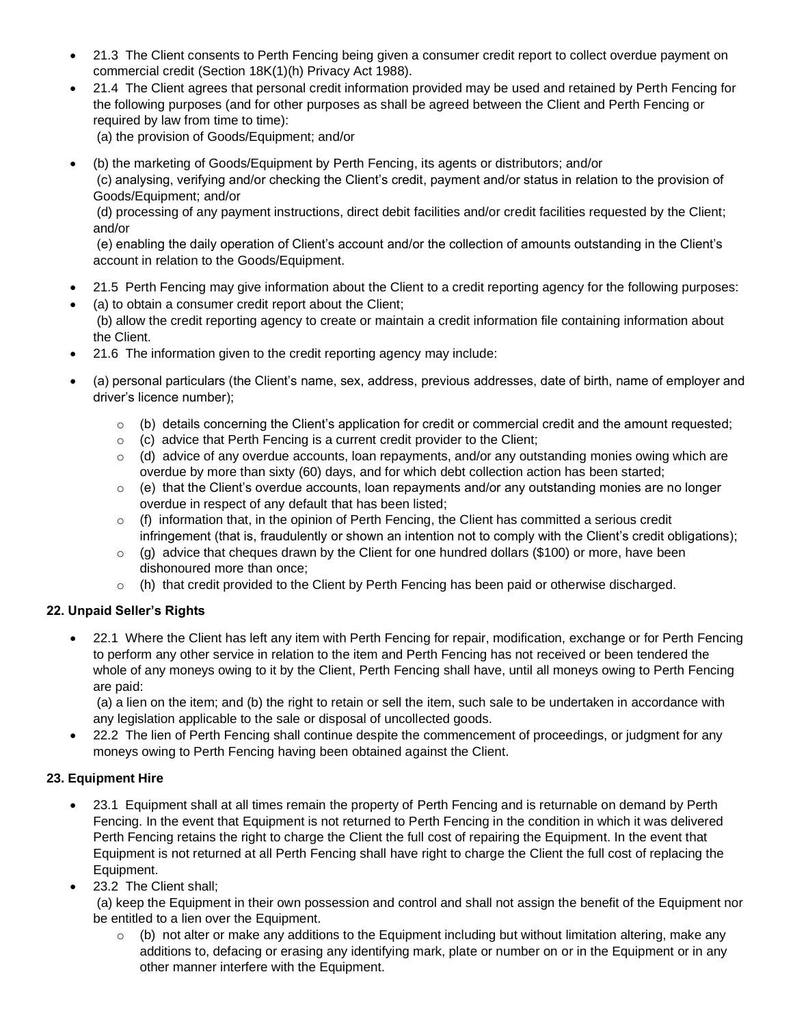- 21.3 The Client consents to Perth Fencing being given a consumer credit report to collect overdue payment on commercial credit (Section 18K(1)(h) Privacy Act 1988).
- 21.4 The Client agrees that personal credit information provided may be used and retained by Perth Fencing for the following purposes (and for other purposes as shall be agreed between the Client and Perth Fencing or required by law from time to time):
	- (a) the provision of Goods/Equipment; and/or
- (b) the marketing of Goods/Equipment by Perth Fencing, its agents or distributors; and/or (c) analysing, verifying and/or checking the Client's credit, payment and/or status in relation to the provision of Goods/Equipment; and/or

(d) processing of any payment instructions, direct debit facilities and/or credit facilities requested by the Client; and/or

(e) enabling the daily operation of Client's account and/or the collection of amounts outstanding in the Client's account in relation to the Goods/Equipment.

- 21.5 Perth Fencing may give information about the Client to a credit reporting agency for the following purposes:
- (a) to obtain a consumer credit report about the Client;

(b) allow the credit reporting agency to create or maintain a credit information file containing information about the Client.

- 21.6 The information given to the credit reporting agency may include:
- (a) personal particulars (the Client's name, sex, address, previous addresses, date of birth, name of employer and driver's licence number);
	- $\circ$  (b) details concerning the Client's application for credit or commercial credit and the amount requested;
	- $\circ$  (c) advice that Perth Fencing is a current credit provider to the Client;
	- $\circ$  (d) advice of any overdue accounts, loan repayments, and/or any outstanding monies owing which are overdue by more than sixty (60) days, and for which debt collection action has been started;
	- $\circ$  (e) that the Client's overdue accounts, loan repayments and/or any outstanding monies are no longer overdue in respect of any default that has been listed;
	- $\circ$  (f) information that, in the opinion of Perth Fencing, the Client has committed a serious credit infringement (that is, fraudulently or shown an intention not to comply with the Client's credit obligations);
	- $\circ$  (g) advice that cheques drawn by the Client for one hundred dollars (\$100) or more, have been dishonoured more than once;
	- o (h) that credit provided to the Client by Perth Fencing has been paid or otherwise discharged.

#### **22. Unpaid Seller's Rights**

• 22.1 Where the Client has left any item with Perth Fencing for repair, modification, exchange or for Perth Fencing to perform any other service in relation to the item and Perth Fencing has not received or been tendered the whole of any moneys owing to it by the Client, Perth Fencing shall have, until all moneys owing to Perth Fencing are paid:

(a) a lien on the item; and (b) the right to retain or sell the item, such sale to be undertaken in accordance with any legislation applicable to the sale or disposal of uncollected goods.

• 22.2 The lien of Perth Fencing shall continue despite the commencement of proceedings, or judgment for any moneys owing to Perth Fencing having been obtained against the Client.

# **23. Equipment Hire**

- 23.1 Equipment shall at all times remain the property of Perth Fencing and is returnable on demand by Perth Fencing. In the event that Equipment is not returned to Perth Fencing in the condition in which it was delivered Perth Fencing retains the right to charge the Client the full cost of repairing the Equipment. In the event that Equipment is not returned at all Perth Fencing shall have right to charge the Client the full cost of replacing the Equipment.
- 23.2 The Client shall;

(a) keep the Equipment in their own possession and control and shall not assign the benefit of the Equipment nor be entitled to a lien over the Equipment.

 $\circ$  (b) not alter or make any additions to the Equipment including but without limitation altering, make any additions to, defacing or erasing any identifying mark, plate or number on or in the Equipment or in any other manner interfere with the Equipment.